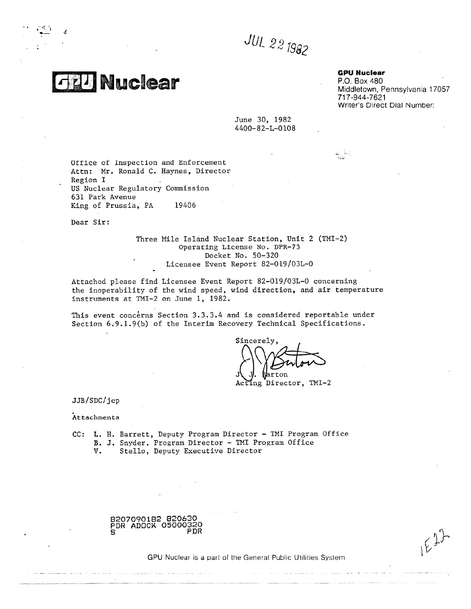*JUL 2*

**ea** 

Ч.

**GPU Nuclear**

농군의

P.O. Box 480 Middletown, Pennsylvania 17057 717-944-7621 Writer's Direct Dial Number:

 $E^{12}$ 

June 30, 1982 4400-82-L-0108

Office of Inspection and Enforcement Attn: Mr. Ronald C. Haynes, Director Region I US Nuclear Regulatory Commission 631 Park Avenue King of Prussia, PA 19406

Dear Sir:

Three Mile Island Nuclear Station, Unit 2 (TMI-2) Operating License No. DPR-73 Docket No. 50-320 Licensee Event Report 82-019/03L-0

Attached please find Licensee Event Report 82-019/03L-0 concerning the inoperability of the wind speed, wind direction, and air temperature instruments at TMI-2 on June 1, 1982.

This event concerns Section 3.3.3.4 and is considered reportable under Section 6.9.1.9(b) of the Interim Recovery Technical Specifications.

Sincerely, **,40,00 qt** on Acting Director, TMI-2

JJB/SDC/jep

Attachments

CC: L. H. Barrett, Deputy Program Director - TMI Program Office B. J. Snyder, Program Director - TMI Program Office V. Stello, Deputy Executive Director



GPU Nuclear is a part of the General Public Utilities System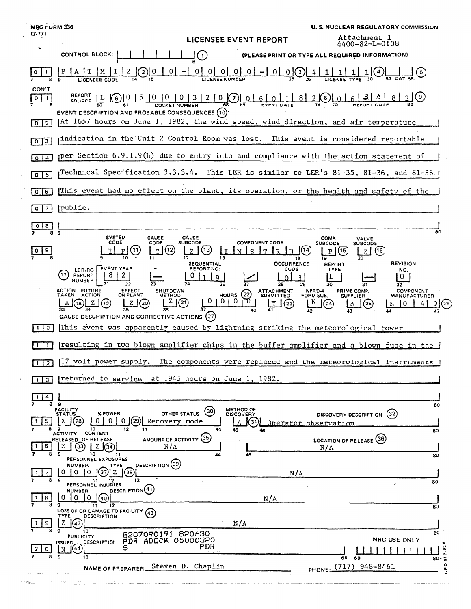|  | NRGFURM 336                      |                                                                                                                                                                                                                                                                                                                                                                                                                                                                                                                                              | <b>U. S. NUCLEAR REGULATORY COMMISSION</b>                                                                                                                                                                   |
|--|----------------------------------|----------------------------------------------------------------------------------------------------------------------------------------------------------------------------------------------------------------------------------------------------------------------------------------------------------------------------------------------------------------------------------------------------------------------------------------------------------------------------------------------------------------------------------------------|--------------------------------------------------------------------------------------------------------------------------------------------------------------------------------------------------------------|
|  | $(7-77)$                         | <b>LICENSEE EVENT REPORT</b>                                                                                                                                                                                                                                                                                                                                                                                                                                                                                                                 | Attachment 1<br>4400-82-L-0108                                                                                                                                                                               |
|  |                                  | <b>CONTROL BLOCK:</b><br>(1)                                                                                                                                                                                                                                                                                                                                                                                                                                                                                                                 | (PLEASE PRINT OR TYPE ALL REQUIRED INFORMATION)                                                                                                                                                              |
|  |                                  | 000000-000<br>$\overline{0}$<br>2                                                                                                                                                                                                                                                                                                                                                                                                                                                                                                            | -4                                                                                                                                                                                                           |
|  | CON'T<br>$\circ$<br>$\mathbf{1}$ | 0 0 3 2 0(7) 0 6 011<br>- 8 J<br>$[L \mid (6)$<br><b>SOURCE</b><br>69<br><b>EVENT DATE</b><br>DOCKET NUMBER<br><b>EVENT DESCRIPTION AND PROBABLE CONSEQUENCES (10)</b>                                                                                                                                                                                                                                                                                                                                                                       | $2$ (8) $\lfloor$ $\lceil$                                                                                                                                                                                   |
|  | $0$   $2$                        | At 1657 hours on June 1, 1982, the wind speed, wind direction, and air temperature                                                                                                                                                                                                                                                                                                                                                                                                                                                           |                                                                                                                                                                                                              |
|  | $\boxed{0}$ $\boxed{3}$          | indication in the Unit 2 Control Room was lost. This event is considered reportable                                                                                                                                                                                                                                                                                                                                                                                                                                                          |                                                                                                                                                                                                              |
|  | $0 \mid 4$                       | per Section 6.9.1.9(b) due to entry into and compliance with the action statement of                                                                                                                                                                                                                                                                                                                                                                                                                                                         |                                                                                                                                                                                                              |
|  | $0$ 5                            | Technical Specification 3.3.3.4. This LER is similar to LER's 81-35, 81-36, and 81-38.                                                                                                                                                                                                                                                                                                                                                                                                                                                       |                                                                                                                                                                                                              |
|  | $0$ $6$                          | This event had no effect on the plant, its operation, or the health and safety of the                                                                                                                                                                                                                                                                                                                                                                                                                                                        |                                                                                                                                                                                                              |
|  | $0$   7                          | public.                                                                                                                                                                                                                                                                                                                                                                                                                                                                                                                                      |                                                                                                                                                                                                              |
|  | 8<br>0<br>8                      | 9                                                                                                                                                                                                                                                                                                                                                                                                                                                                                                                                            | 80                                                                                                                                                                                                           |
|  |                                  | <b>SYSTEM</b><br>CAUSE<br>CAUSE<br><b>COMPONENT CODE</b><br>CODE<br>CODE<br><b>SUBCODE</b><br>11<br>(12<br>12<br>18                                                                                                                                                                                                                                                                                                                                                                                                                          | COMP.<br><b>VALVE</b><br><b>SUBCODE</b><br><b>SUBCODE</b><br>(16)                                                                                                                                            |
|  | 0                                | <b>OCCURRENCE</b><br>SEQUENTIAL<br><b>EVENT YEAR</b><br>REPORT NO:<br><b>CODE</b><br>LER/RO<br>(17)<br>REPORT<br>2<br>Q<br><b>NUMBER</b><br>27<br>26<br><b>ACTION FUTURE</b><br><b>EFFECT</b><br><b>SHUTDOWN</b><br>ATTACHMENT<br>SUBMITTED<br>(22)<br>ON PLANT<br><b>HOURS</b><br><b>TAKEN</b><br><b>ACTION</b><br>METHOD<br>0<br>0<br>01<br>Ζł<br>(21)<br>(19)<br>(18)<br>z.<br><u>Z (</u> 20)<br>(23)<br>CAUSE DESCRIPTION AND CORRECTIVE ACTIONS (27)<br>This event was apparently caused by lightning striking the meteorological tower | <b>REVISION</b><br><b>REPORT</b><br><b>TYPE</b><br>NO.<br>L<br>Ü<br>30<br>NPRD-4<br>PRIME COMP.<br>COMPONENT<br>FORM SUB.<br><b>SUPPLIER</b><br><b>MANUFACTURER</b><br>N<br>(25)<br>$^{24}$<br>O<br>N<br>(26 |
|  |                                  | resulting in two blown amplifier chips in the buffer amplifier and a blown fuse in the                                                                                                                                                                                                                                                                                                                                                                                                                                                       |                                                                                                                                                                                                              |
|  | $1\overline{2}$                  | 112 volt power supply.<br>The components were replaced and the meteorological instruments                                                                                                                                                                                                                                                                                                                                                                                                                                                    |                                                                                                                                                                                                              |
|  |                                  | returned to service at 1945 hours on June 1, 1982.                                                                                                                                                                                                                                                                                                                                                                                                                                                                                           |                                                                                                                                                                                                              |
|  | 4<br>8                           | - 9                                                                                                                                                                                                                                                                                                                                                                                                                                                                                                                                          | 80                                                                                                                                                                                                           |
|  |                                  | METHOD OF<br>DISCOVERY<br>FACILITY<br>STATUS<br>(30)<br>OTHER STATUS<br>% POWER<br>1(29)<br>$\Omega$<br>X<br>〔28<br>0 I<br>0<br>Recovery mode<br>31<br>10<br>13                                                                                                                                                                                                                                                                                                                                                                              | (32)<br>DISCOVERY DESCRIPTION<br>Operator observation                                                                                                                                                        |
|  | 6                                | 45<br>46<br>ACTIVITY CONTENT<br>AMOUNT OF ACTIVITY (35)<br>RELEASED OF RELEASE<br>z<br>$Z$ $\sqrt{34}$<br>N/A<br>(33)<br>45<br>10<br>11<br>44<br>PERSONNEL EXPOSURES                                                                                                                                                                                                                                                                                                                                                                         | 80<br>LOCATION OF RELEASE (36)<br>N/A<br>80                                                                                                                                                                  |
|  | 7                                | DESCRIPTION (39)<br><b>NUMBER</b><br><b>TYPE</b><br>I(38)<br>$\Omega$<br>ΙO.<br>10<br>N/A<br>13<br>11<br>12                                                                                                                                                                                                                                                                                                                                                                                                                                  | 80                                                                                                                                                                                                           |
|  | 8                                | PERSONNEL INJURIES<br>DESCRIPTION <sub>(41)</sub><br><b>NUMBER</b><br>0<br>0.<br>10<br>N/A<br>40<br>۰<br>11<br>12                                                                                                                                                                                                                                                                                                                                                                                                                            | 80                                                                                                                                                                                                           |
|  | 9                                | LOSS OF OR DAMAGE TO FACILITY (43)<br>TYPE<br><b>DESCRIPTION</b><br>z<br>N/A                                                                                                                                                                                                                                                                                                                                                                                                                                                                 |                                                                                                                                                                                                              |
|  | 0                                | g<br>10<br>8207090191 820630<br><b>PUBLICITY</b><br>PDR ADOCK 05000320<br><b>DESCRIPTIOI</b><br><b>ISSUED_</b><br>PDR<br>S<br>(44)<br>  N                                                                                                                                                                                                                                                                                                                                                                                                    | 80<br>NRC USE ONLY<br>$\bullet$<br>$7 - 92$                                                                                                                                                                  |
|  |                                  | $\mathbf{9}$<br>10<br>Steven D. Chaplin<br>NAME OF PREPARER.                                                                                                                                                                                                                                                                                                                                                                                                                                                                                 | 68 69<br>$80 - 5$<br>ဥ<br>PHONE: (717) 948-8461                                                                                                                                                              |
|  |                                  |                                                                                                                                                                                                                                                                                                                                                                                                                                                                                                                                              |                                                                                                                                                                                                              |